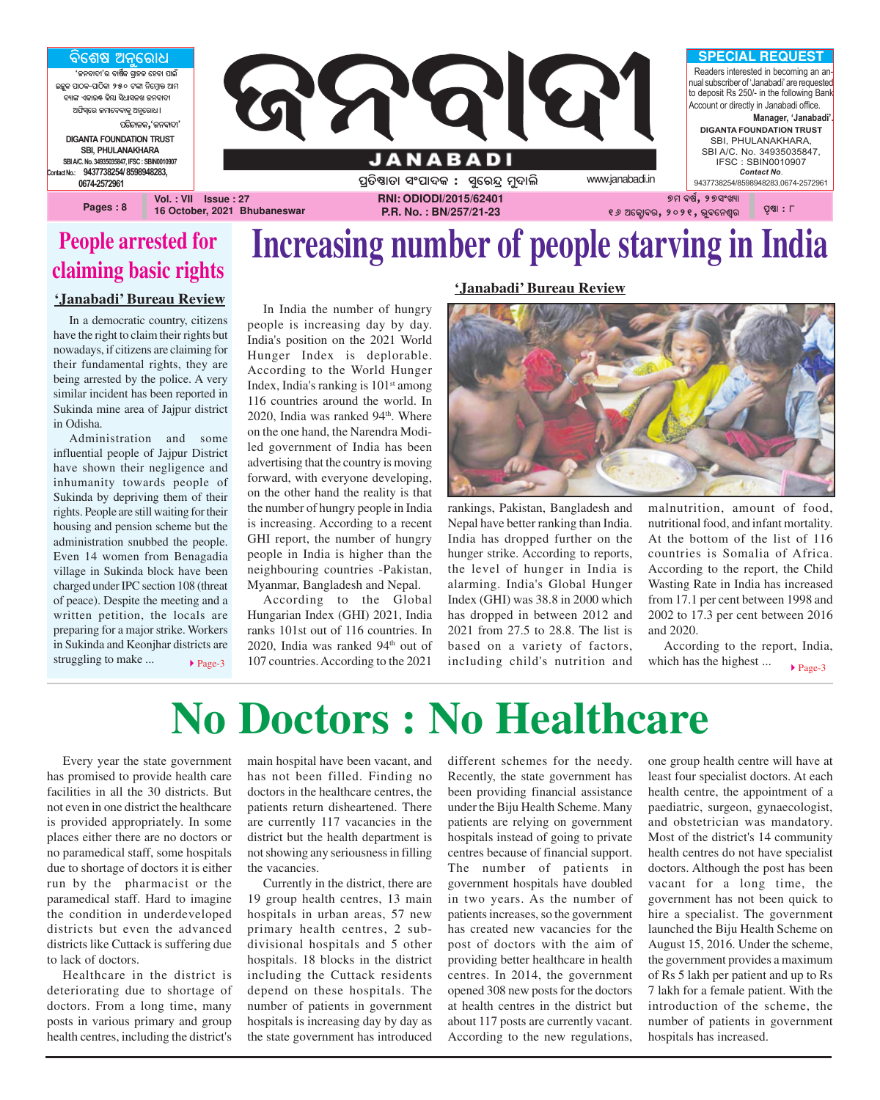

### **People arrested for claiming basic rights**

### **'Janabadi' Bureau Review**

In a democratic country, citizens have the right to claim their rights but nowadays, if citizens are claiming for their fundamental rights, they are being arrested by the police. A very similar incident has been reported in Sukinda mine area of Jajpur district in Odisha.

Administration and some influential people of Jajpur District have shown their negligence and inhumanity towards people of Sukinda by depriving them of their rights. People are still waiting for their housing and pension scheme but the administration snubbed the people. Even 14 women from Benagadia village in Sukinda block have been charged under IPC section 108 (threat of peace). Despite the meeting and a written petition, the locals are preparing for a major strike. Workers in Sukinda and Keonjhar districts are struggling to make ...

In India the number of hungry people is increasing day by day. India's position on the 2021 World Hunger Index is deplorable. According to the World Hunger Index, India's ranking is  $101<sup>st</sup>$  among 116 countries around the world. In 2020, India was ranked 94<sup>th</sup>. Where on the one hand, the Narendra Modiled government of India has been advertising that the country is moving forward, with everyone developing, on the other hand the reality is that the number of hungry people in India is increasing. According to a recent GHI report, the number of hungry people in India is higher than the neighbouring countries -Pakistan, Myanmar, Bangladesh and Nepal.

According to the Global Hungarian Index (GHI) 2021, India ranks 101st out of 116 countries. In 2020, India was ranked  $94<sup>th</sup>$  out of 107 countries. According to the 2021 rage-3 107 countries. According to the 2021 including child's nutrition and which has the highest ...

### **'Janabadi' Bureau Review**

![](_page_0_Picture_8.jpeg)

rankings, Pakistan, Bangladesh and Nepal have better ranking than India. India has dropped further on the hunger strike. According to reports, the level of hunger in India is alarming. India's Global Hunger Index (GHI) was 38.8 in 2000 which has dropped in between 2012 and 2021 from 27.5 to 28.8. The list is based on a variety of factors, malnutrition, amount of food, nutritional food, and infant mortality. At the bottom of the list of 116 countries is Somalia of Africa. According to the report, the Child Wasting Rate in India has increased from 17.1 per cent between 1998 and 2002 to 17.3 per cent between 2016 and 2020.

According to the report, India,  $\blacktriangleright$  Page-3

# **No Doctors : No Healthcare**

Every year the state government has promised to provide health care facilities in all the 30 districts. But not even in one district the healthcare is provided appropriately. In some places either there are no doctors or no paramedical staff, some hospitals due to shortage of doctors it is either run by the pharmacist or the paramedical staff. Hard to imagine the condition in underdeveloped districts but even the advanced districts like Cuttack is suffering due to lack of doctors.

Healthcare in the district is deteriorating due to shortage of doctors. From a long time, many posts in various primary and group health centres, including the district's

main hospital have been vacant, and has not been filled. Finding no doctors in the healthcare centres, the patients return disheartened. There are currently 117 vacancies in the district but the health department is not showing any seriousness in filling the vacancies.

Currently in the district, there are 19 group health centres, 13 main hospitals in urban areas, 57 new primary health centres, 2 subdivisional hospitals and 5 other hospitals. 18 blocks in the district including the Cuttack residents depend on these hospitals. The number of patients in government hospitals is increasing day by day as the state government has introduced different schemes for the needy. Recently, the state government has been providing financial assistance under the Biju Health Scheme. Many patients are relying on government hospitals instead of going to private centres because of financial support. The number of patients in government hospitals have doubled in two years. As the number of patients increases, so the government has created new vacancies for the post of doctors with the aim of providing better healthcare in health centres. In 2014, the government opened 308 new posts for the doctors at health centres in the district but about 117 posts are currently vacant. According to the new regulations,

one group health centre will have at least four specialist doctors. At each health centre, the appointment of a paediatric, surgeon, gynaecologist, and obstetrician was mandatory. Most of the district's 14 community health centres do not have specialist doctors. Although the post has been vacant for a long time, the government has not been quick to hire a specialist. The government launched the Biju Health Scheme on August 15, 2016. Under the scheme, the government provides a maximum of Rs 5 lakh per patient and up to Rs 7 lakh for a female patient. With the introduction of the scheme, the number of patients in government hospitals has increased.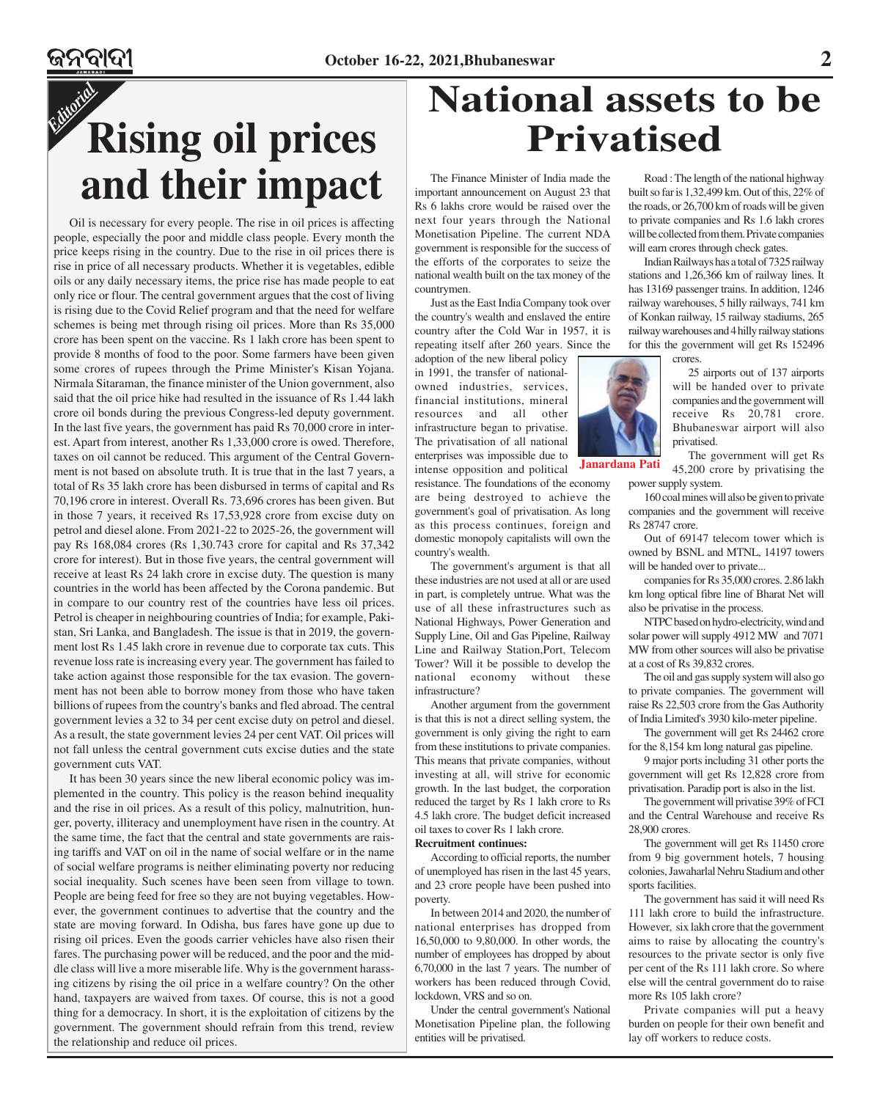## *Editorial* **Rising oil prices and their impact**

Oil is necessary for every people. The rise in oil prices is affecting people, especially the poor and middle class people. Every month the price keeps rising in the country. Due to the rise in oil prices there is rise in price of all necessary products. Whether it is vegetables, edible oils or any daily necessary items, the price rise has made people to eat only rice or flour. The central government argues that the cost of living is rising due to the Covid Relief program and that the need for welfare schemes is being met through rising oil prices. More than Rs 35,000 crore has been spent on the vaccine. Rs 1 lakh crore has been spent to provide 8 months of food to the poor. Some farmers have been given some crores of rupees through the Prime Minister's Kisan Yojana. Nirmala Sitaraman, the finance minister of the Union government, also said that the oil price hike had resulted in the issuance of Rs 1.44 lakh crore oil bonds during the previous Congress-led deputy government. In the last five years, the government has paid Rs 70,000 crore in interest. Apart from interest, another Rs 1,33,000 crore is owed. Therefore, taxes on oil cannot be reduced. This argument of the Central Government is not based on absolute truth. It is true that in the last 7 years, a total of Rs 35 lakh crore has been disbursed in terms of capital and Rs 70,196 crore in interest. Overall Rs. 73,696 crores has been given. But in those 7 years, it received Rs 17,53,928 crore from excise duty on petrol and diesel alone. From 2021-22 to 2025-26, the government will pay Rs 168,084 crores (Rs 1,30.743 crore for capital and Rs 37,342 crore for interest). But in those five years, the central government will receive at least Rs 24 lakh crore in excise duty. The question is many countries in the world has been affected by the Corona pandemic. But in compare to our country rest of the countries have less oil prices. Petrol is cheaper in neighbouring countries of India; for example, Pakistan, Sri Lanka, and Bangladesh. The issue is that in 2019, the government lost Rs 1.45 lakh crore in revenue due to corporate tax cuts. This revenue loss rate is increasing every year. The government has failed to take action against those responsible for the tax evasion. The government has not been able to borrow money from those who have taken billions of rupees from the country's banks and fled abroad. The central government levies a 32 to 34 per cent excise duty on petrol and diesel. As a result, the state government levies 24 per cent VAT. Oil prices will not fall unless the central government cuts excise duties and the state government cuts VAT.

It has been 30 years since the new liberal economic policy was implemented in the country. This policy is the reason behind inequality and the rise in oil prices. As a result of this policy, malnutrition, hunger, poverty, illiteracy and unemployment have risen in the country. At the same time, the fact that the central and state governments are raising tariffs and VAT on oil in the name of social welfare or in the name of social welfare programs is neither eliminating poverty nor reducing social inequality. Such scenes have been seen from village to town. People are being feed for free so they are not buying vegetables. However, the government continues to advertise that the country and the state are moving forward. In Odisha, bus fares have gone up due to rising oil prices. Even the goods carrier vehicles have also risen their fares. The purchasing power will be reduced, and the poor and the middle class will live a more miserable life. Why is the government harassing citizens by rising the oil price in a welfare country? On the other hand, taxpayers are waived from taxes. Of course, this is not a good thing for a democracy. In short, it is the exploitation of citizens by the government. The government should refrain from this trend, review the relationship and reduce oil prices.

## **National assets to be Privatised**

The Finance Minister of India made the important announcement on August 23 that Rs 6 lakhs crore would be raised over the next four years through the National Monetisation Pipeline. The current NDA government is responsible for the success of the efforts of the corporates to seize the national wealth built on the tax money of the countrymen.

Just as the East India Company took over the country's wealth and enslaved the entire country after the Cold War in 1957, it is repeating itself after 260 years. Since the

adoption of the new liberal policy in 1991, the transfer of nationalowned industries, services financial institutions, mineral resources and all other infrastructure began to privatise. The privatisation of all national enterprises was impossible due to intense opposition and political resistance. The foundations of the economy

are being destroyed to achieve the government's goal of privatisation. As long as this process continues, foreign and domestic monopoly capitalists will own the country's wealth.

The government's argument is that all these industries are not used at all or are used in part, is completely untrue. What was the use of all these infrastructures such as National Highways, Power Generation and Supply Line, Oil and Gas Pipeline, Railway Line and Railway Station,Port, Telecom Tower? Will it be possible to develop the national economy without these infrastructure?

Another argument from the government is that this is not a direct selling system, the government is only giving the right to earn from these institutions to private companies. This means that private companies, without investing at all, will strive for economic growth. In the last budget, the corporation reduced the target by Rs 1 lakh crore to Rs 4.5 lakh crore. The budget deficit increased oil taxes to cover Rs 1 lakh crore. **Recruitment continues:**

According to official reports, the number of unemployed has risen in the last 45 years, and 23 crore people have been pushed into poverty.

In between 2014 and 2020, the number of national enterprises has dropped from 16,50,000 to 9,80,000. In other words, the number of employees has dropped by about 6,70,000 in the last 7 years. The number of workers has been reduced through Covid, lockdown, VRS and so on.

Under the central government's National Monetisation Pipeline plan, the following entities will be privatised.

Road : The length of the national highway built so far is 1,32,499 km. Out of this, 22% of the roads, or 26,700 km of roads will be given to private companies and Rs 1.6 lakh crores will be collected from them. Private companies will earn crores through check gates.

Indian Railways has a total of 7325 railway stations and 1,26,366 km of railway lines. It has 13169 passenger trains. In addition, 1246 railway warehouses, 5 hilly railways, 741 km of Konkan railway, 15 railway stadiums, 265 railway warehouses and 4 hilly railway stations for this the government will get Rs 152496 crores.

> 25 airports out of 137 airports will be handed over to private companies and the government will receive Rs 20,781 crore. Bhubaneswar airport will also privatised.

The government will get Rs 45,200 crore by privatising the power supply system.

160 coal mines will also be given to private companies and the government will receive Rs 28747 crore.

Out of 69147 telecom tower which is owned by BSNL and MTNL, 14197 towers will be handed over to private...

companies for Rs 35,000 crores. 2.86 lakh km long optical fibre line of Bharat Net will also be privatise in the process.

NTPC based on hydro-electricity, wind and solar power will supply 4912 MW and 7071 MW from other sources will also be privatise at a cost of Rs 39,832 crores.

The oil and gas supply system will also go to private companies. The government will raise Rs 22,503 crore from the Gas Authority of India Limited's 3930 kilo-meter pipeline.

The government will get Rs 24462 crore for the 8,154 km long natural gas pipeline.

9 major ports including 31 other ports the government will get Rs 12,828 crore from privatisation. Paradip port is also in the list.

The government will privatise 39% of FCI and the Central Warehouse and receive Rs 28,900 crores.

The government will get Rs 11450 crore from 9 big government hotels, 7 housing colonies, Jawaharlal Nehru Stadium and other sports facilities.

The government has said it will need Rs 111 lakh crore to build the infrastructure. However, six lakh crore that the government aims to raise by allocating the country's resources to the private sector is only five per cent of the Rs 111 lakh crore. So where else will the central government do to raise more Rs 105 lakh crore?

Private companies will put a heavy burden on people for their own benefit and lay off workers to reduce costs.

![](_page_1_Picture_30.jpeg)

**Janardana Pati**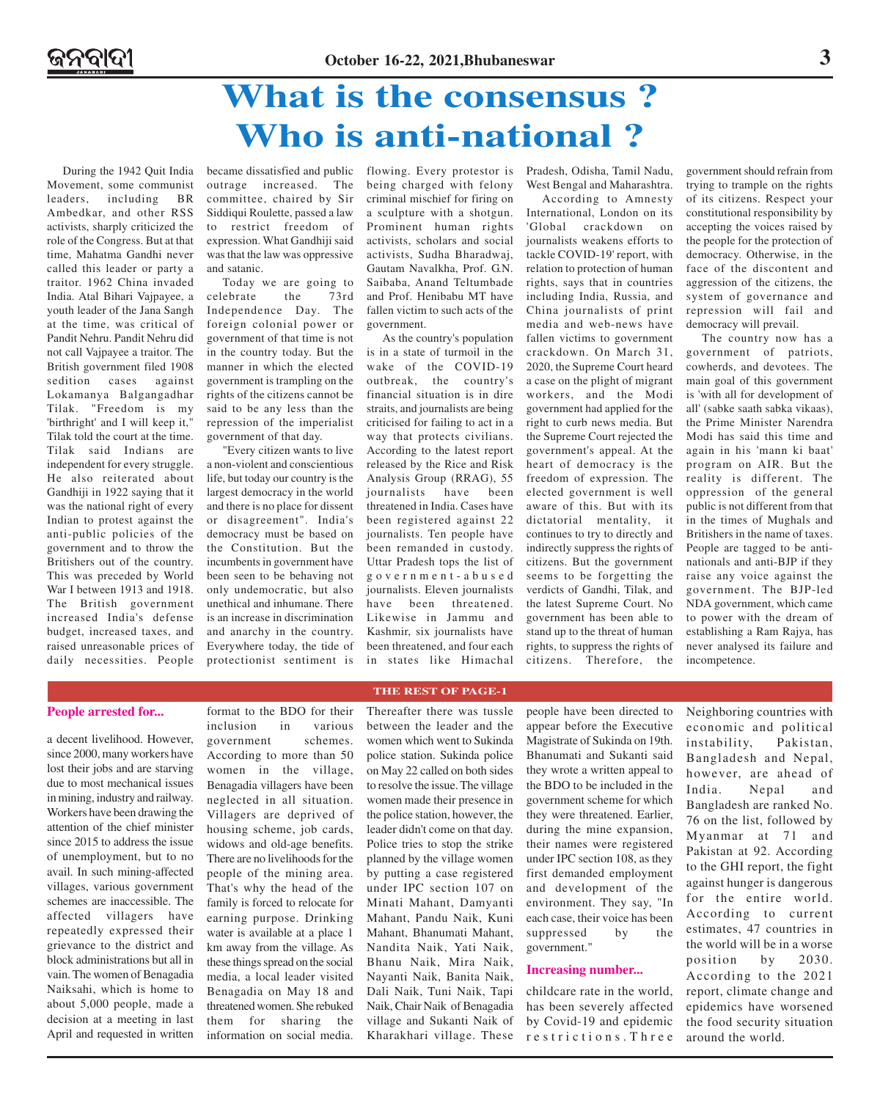### **What is the consensus ? Who is anti-national ?**

During the 1942 Quit India Movement, some communist leaders, including BR Ambedkar, and other RSS activists, sharply criticized the role of the Congress. But at that time, Mahatma Gandhi never called this leader or party a traitor. 1962 China invaded India. Atal Bihari Vajpayee, a youth leader of the Jana Sangh at the time, was critical of Pandit Nehru. Pandit Nehru did not call Vajpayee a traitor. The British government filed 1908 sedition cases against Lokamanya Balgangadhar Tilak. "Freedom is my 'birthright' and I will keep it," Tilak told the court at the time. Tilak said Indians are independent for every struggle. He also reiterated about Gandhiji in 1922 saying that it was the national right of every Indian to protest against the anti-public policies of the government and to throw the Britishers out of the country. This was preceded by World War I between 1913 and 1918. The British government increased India's defense budget, increased taxes, and raised unreasonable prices of daily necessities. People

became dissatisfied and public flowing. Every protestor is outrage increased. The committee, chaired by Sir Siddiqui Roulette, passed a law to restrict freedom of expression. What Gandhiji said was that the law was oppressive and satanic.

Today we are going to celebrate the 73rd Independence Day. The foreign colonial power or government of that time is not in the country today. But the manner in which the elected government is trampling on the rights of the citizens cannot be said to be any less than the repression of the imperialist government of that day.

"Every citizen wants to live a non-violent and conscientious life, but today our country is the largest democracy in the world and there is no place for dissent or disagreement". India's democracy must be based on the Constitution. But the incumbents in government have been seen to be behaving not only undemocratic, but also unethical and inhumane. There is an increase in discrimination and anarchy in the country. Everywhere today, the tide of protectionist sentiment is

being charged with felony criminal mischief for firing on a sculpture with a shotgun. Prominent human rights activists, scholars and social activists, Sudha Bharadwaj, Gautam Navalkha, Prof. G.N. Saibaba, Anand Teltumbade and Prof. Henibabu MT have fallen victim to such acts of the government.

As the country's population is in a state of turmoil in the wake of the COVID-19 outbreak, the country's financial situation is in dire straits, and journalists are being criticised for failing to act in a way that protects civilians. According to the latest report released by the Rice and Risk Analysis Group (RRAG), 55 journalists have been threatened in India. Cases have been registered against 22 journalists. Ten people have been remanded in custody. Uttar Pradesh tops the list of government-abused journalists. Eleven journalists have been threatened. Likewise in Jammu and Kashmir, six journalists have been threatened, and four each in states like Himachal

Pradesh, Odisha, Tamil Nadu, West Bengal and Maharashtra.

According to Amnesty International, London on its 'Global crackdown on journalists weakens efforts to tackle COVID-19' report, with relation to protection of human rights, says that in countries including India, Russia, and China journalists of print media and web-news have fallen victims to government crackdown. On March 31, 2020, the Supreme Court heard a case on the plight of migrant workers, and the Modi government had applied for the right to curb news media. But the Supreme Court rejected the government's appeal. At the heart of democracy is the freedom of expression. The elected government is well aware of this. But with its dictatorial mentality, it continues to try to directly and indirectly suppress the rights of citizens. But the government seems to be forgetting the verdicts of Gandhi, Tilak, and the latest Supreme Court. No government has been able to stand up to the threat of human rights, to suppress the rights of citizens. Therefore, the

government should refrain from trying to trample on the rights of its citizens. Respect your constitutional responsibility by accepting the voices raised by the people for the protection of democracy. Otherwise, in the face of the discontent and aggression of the citizens, the system of governance and repression will fail and democracy will prevail.

The country now has a government of patriots, cowherds, and devotees. The main goal of this government is 'with all for development of all' (sabke saath sabka vikaas), the Prime Minister Narendra Modi has said this time and again in his 'mann ki baat' program on AIR. But the reality is different. The oppression of the general public is not different from that in the times of Mughals and Britishers in the name of taxes. People are tagged to be antinationals and anti-BJP if they raise any voice against the government. The BJP-led NDA government, which came to power with the dream of establishing a Ram Rajya, has never analysed its failure and incompetence.

#### **People arrested for...** format to the BDO for their

a decent livelihood. However, since 2000, many workers have lost their jobs and are starving due to most mechanical issues in mining, industry and railway. Workers have been drawing the attention of the chief minister since 2015 to address the issue of unemployment, but to no avail. In such mining-affected villages, various government schemes are inaccessible. The affected villagers have repeatedly expressed their grievance to the district and block administrations but all in vain. The women of Benagadia Naiksahi, which is home to about 5,000 people, made a decision at a meeting in last April and requested in written

inclusion in various government schemes. According to more than 50 women in the village, Benagadia villagers have been neglected in all situation. Villagers are deprived of housing scheme, job cards, widows and old-age benefits. There are no livelihoods for the people of the mining area. That's why the head of the family is forced to relocate for earning purpose. Drinking water is available at a place 1 km away from the village. As these things spread on the social media, a local leader visited Benagadia on May 18 and threatened women. She rebuked them for sharing the information on social media. Thereafter there was tussle between the leader and the women which went to Sukinda police station. Sukinda police on May 22 called on both sides to resolve the issue. The village women made their presence in the police station, however, the leader didn't come on that day. Police tries to stop the strike planned by the village women by putting a case registered under IPC section 107 on Minati Mahant, Damyanti Mahant, Pandu Naik, Kuni Mahant, Bhanumati Mahant, Nandita Naik, Yati Naik, Bhanu Naik, Mira Naik, Nayanti Naik, Banita Naik, Dali Naik, Tuni Naik, Tapi Naik, Chair Naik of Benagadia village and Sukanti Naik of Kharakhari village. These

**THE REST OF PAGE-1**

people have been directed to appear before the Executive Magistrate of Sukinda on 19th. Bhanumati and Sukanti said they wrote a written appeal to the BDO to be included in the government scheme for which they were threatened. Earlier, during the mine expansion, their names were registered under IPC section 108, as they first demanded employment and development of the environment. They say, "In each case, their voice has been suppressed by the government."

#### **Increasing number...**

childcare rate in the world, has been severely affected by Covid-19 and epidemic restrictions.Three

Neighboring countries with economic and political instability, Pakistan, Bangladesh and Nepal, however, are ahead of India. Nepal and Bangladesh are ranked No. 76 on the list, followed by Myanmar at 71 and Pakistan at 92. According to the GHI report, the fight against hunger is dangerous for the entire world. According to current estimates, 47 countries in the world will be in a worse position by 2030. According to the 2021 report, climate change and epidemics have worsened the food security situation around the world.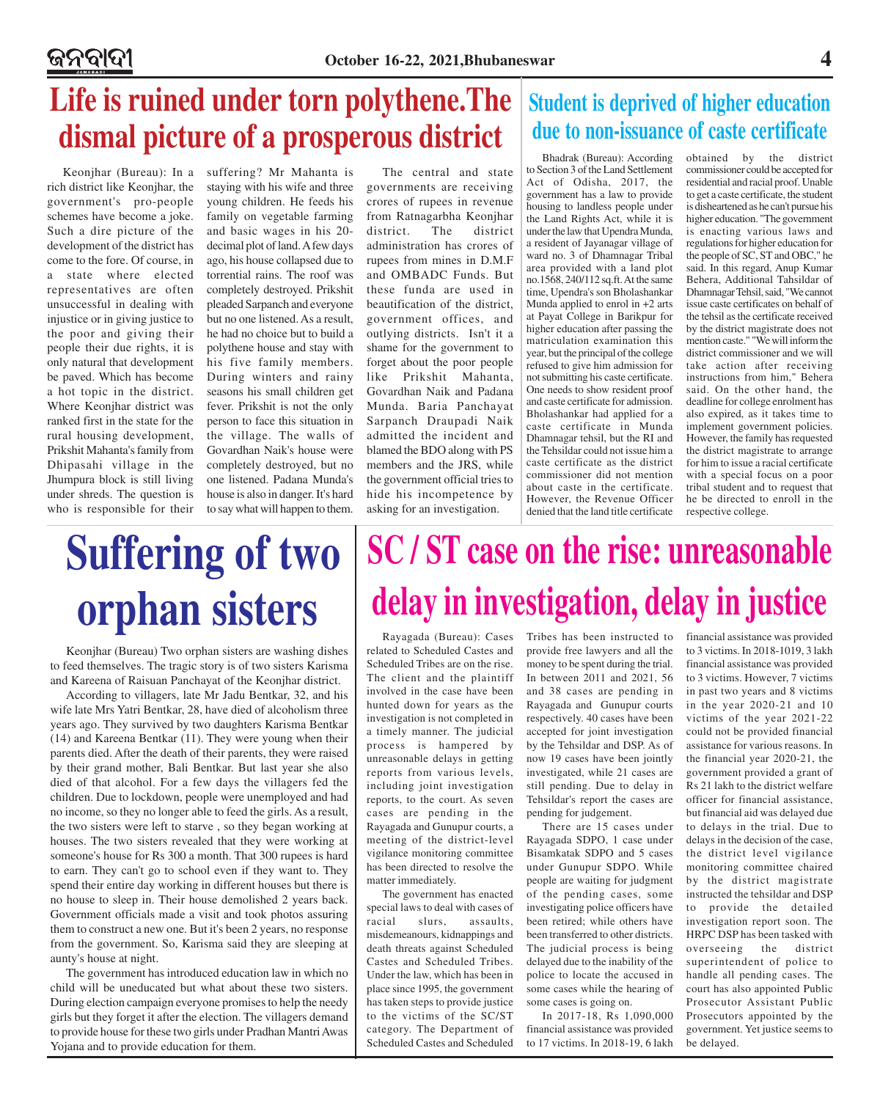## **Life is ruined under torn polythene.The dismal picture of a prosperous district**

Keonjhar (Bureau): In a rich district like Keonjhar, the government's pro-people schemes have become a joke. Such a dire picture of the development of the district has come to the fore. Of course, in a state where elected representatives are often unsuccessful in dealing with injustice or in giving justice to the poor and giving their people their due rights, it is only natural that development be paved. Which has become a hot topic in the district. Where Keonjhar district was ranked first in the state for the rural housing development, Prikshit Mahanta's family from Dhipasahi village in the Jhumpura block is still living under shreds. The question is who is responsible for their

suffering? Mr Mahanta is staying with his wife and three young children. He feeds his family on vegetable farming and basic wages in his 20 decimal plot of land. A few days ago, his house collapsed due to torrential rains. The roof was completely destroyed. Prikshit pleaded Sarpanch and everyone but no one listened. As a result, he had no choice but to build a polythene house and stay with his five family members. During winters and rainy seasons his small children get fever. Prikshit is not the only person to face this situation in the village. The walls of Govardhan Naik's house were completely destroyed, but no one listened. Padana Munda's house is also in danger. It's hard to say what will happen to them.

The central and state governments are receiving crores of rupees in revenue from Ratnagarbha Keonjhar district. The district administration has crores of rupees from mines in D.M.F and OMBADC Funds. But these funda are used in beautification of the district, government offices, and outlying districts. Isn't it a shame for the government to forget about the poor people like Prikshit Mahanta, Govardhan Naik and Padana Munda. Baria Panchayat Sarpanch Draupadi Naik admitted the incident and blamed the BDO along with PS members and the JRS, while the government official tries to hide his incompetence by asking for an investigation.

### **Student is deprived of higher education due to non-issuance of caste certificate**

Bhadrak (Bureau): According to Section 3 of the Land Settlement Act of Odisha, 2017, the government has a law to provide housing to landless people under the Land Rights Act, while it is under the law that Upendra Munda, a resident of Jayanagar village of ward no. 3 of Dhamnagar Tribal area provided with a land plot no.1568, 240/112 sq.ft. At the same time, Upendra's son Bholashankar Munda applied to enrol in +2 arts at Payat College in Barikpur for higher education after passing the matriculation examination this year, but the principal of the college refused to give him admission for not submitting his caste certificate. One needs to show resident proof and caste certificate for admission. Bholashankar had applied for a caste certificate in Munda Dhamnagar tehsil, but the RI and the Tehsildar could not issue him a caste certificate as the district commissioner did not mention about caste in the certificate. However, the Revenue Officer denied that the land title certificate

obtained by the district commissioner could be accepted for residential and racial proof. Unable to get a caste certificate, the student is disheartened as he can't pursue his higher education. "The government is enacting various laws and regulations for higher education for the people of SC, ST and OBC," he said. In this regard, Anup Kumar Behera, Additional Tahsildar of Dhamnagar Tehsil, said, "We cannot issue caste certificates on behalf of the tehsil as the certificate received by the district magistrate does not mention caste." "We will inform the district commissioner and we will take action after receiving instructions from him," Behera said. On the other hand, the deadline for college enrolment has also expired, as it takes time to implement government policies. However, the family has requested the district magistrate to arrange for him to issue a racial certificate with a special focus on a poor tribal student and to request that he be directed to enroll in the respective college.

# **Suffering of two orphan sisters**

Keonjhar (Bureau) Two orphan sisters are washing dishes to feed themselves. The tragic story is of two sisters Karisma and Kareena of Raisuan Panchayat of the Keonjhar district.

According to villagers, late Mr Jadu Bentkar, 32, and his wife late Mrs Yatri Bentkar, 28, have died of alcoholism three years ago. They survived by two daughters Karisma Bentkar (14) and Kareena Bentkar (11). They were young when their parents died. After the death of their parents, they were raised by their grand mother, Bali Bentkar. But last year she also died of that alcohol. For a few days the villagers fed the children. Due to lockdown, people were unemployed and had no income, so they no longer able to feed the girls. As a result, the two sisters were left to starve , so they began working at houses. The two sisters revealed that they were working at someone's house for Rs 300 a month. That 300 rupees is hard to earn. They can't go to school even if they want to. They spend their entire day working in different houses but there is no house to sleep in. Their house demolished 2 years back. Government officials made a visit and took photos assuring them to construct a new one. But it's been 2 years, no response from the government. So, Karisma said they are sleeping at aunty's house at night.

The government has introduced education law in which no child will be uneducated but what about these two sisters. During election campaign everyone promises to help the needy girls but they forget it after the election. The villagers demand to provide house for these two girls under Pradhan Mantri Awas Yojana and to provide education for them.

# **SC / ST case on the rise: unreasonable delay in investigation, delay in justice**

Rayagada (Bureau): Cases related to Scheduled Castes and Scheduled Tribes are on the rise. The client and the plaintiff involved in the case have been hunted down for years as the investigation is not completed in a timely manner. The judicial process is hampered by unreasonable delays in getting reports from various levels, including joint investigation reports, to the court. As seven cases are pending in the Rayagada and Gunupur courts, a meeting of the district-level vigilance monitoring committee has been directed to resolve the matter immediately.

The government has enacted special laws to deal with cases of racial slurs, assaults, misdemeanours, kidnappings and death threats against Scheduled Castes and Scheduled Tribes. Under the law, which has been in place since 1995, the government has taken steps to provide justice to the victims of the SC/ST category. The Department of Scheduled Castes and Scheduled Tribes has been instructed to provide free lawyers and all the money to be spent during the trial. In between 2011 and 2021, 56 and 38 cases are pending in Rayagada and Gunupur courts respectively. 40 cases have been accepted for joint investigation by the Tehsildar and DSP. As of now 19 cases have been jointly investigated, while 21 cases are still pending. Due to delay in Tehsildar's report the cases are pending for judgement.

There are 15 cases under Rayagada SDPO, 1 case under Bisamkatak SDPO and 5 cases under Gunupur SDPO. While people are waiting for judgment of the pending cases, some investigating police officers have been retired; while others have been transferred to other districts. The judicial process is being delayed due to the inability of the police to locate the accused in some cases while the hearing of some cases is going on.

In 2017-18, Rs 1,090,000 financial assistance was provided to 17 victims. In 2018-19, 6 lakh

financial assistance was provided to 3 victims. In 2018-1019, 3 lakh financial assistance was provided to 3 victims. However, 7 victims in past two years and 8 victims in the year 2020-21 and 10 victims of the year 2021-22 could not be provided financial assistance for various reasons. In the financial year 2020-21, the government provided a grant of Rs 21 lakh to the district welfare officer for financial assistance, but financial aid was delayed due to delays in the trial. Due to delays in the decision of the case, the district level vigilance monitoring committee chaired by the district magistrate instructed the tehsildar and DSP to provide the detailed investigation report soon. The HRPC DSP has been tasked with overseeing the district superintendent of police to handle all pending cases. The court has also appointed Public Prosecutor Assistant Public Prosecutors appointed by the government. Yet justice seems to be delayed.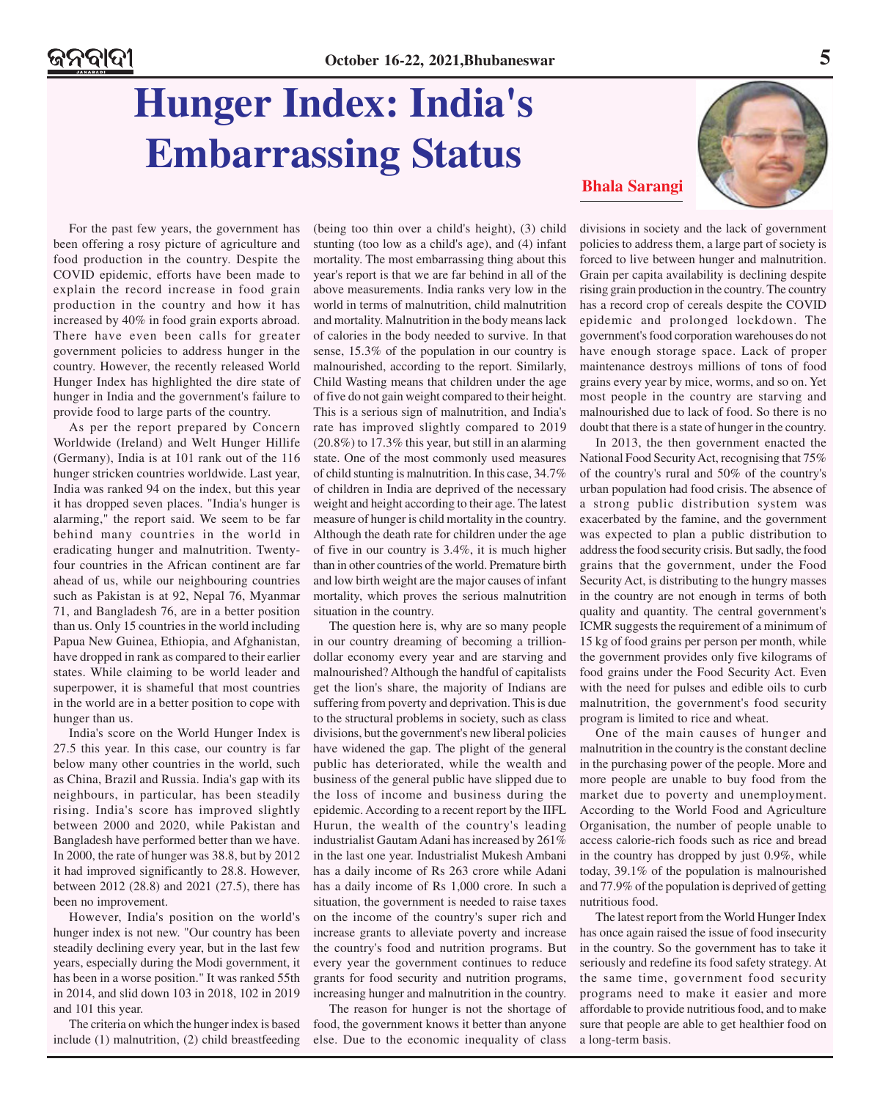## **Hunger Index: India's Embarrassing Status**

![](_page_4_Picture_3.jpeg)

For the past few years, the government has been offering a rosy picture of agriculture and food production in the country. Despite the COVID epidemic, efforts have been made to explain the record increase in food grain production in the country and how it has increased by 40% in food grain exports abroad. There have even been calls for greater government policies to address hunger in the country. However, the recently released World Hunger Index has highlighted the dire state of hunger in India and the government's failure to provide food to large parts of the country.

As per the report prepared by Concern Worldwide (Ireland) and Welt Hunger Hillife (Germany), India is at 101 rank out of the 116 hunger stricken countries worldwide. Last year, India was ranked 94 on the index, but this year it has dropped seven places. "India's hunger is alarming," the report said. We seem to be far behind many countries in the world in eradicating hunger and malnutrition. Twentyfour countries in the African continent are far ahead of us, while our neighbouring countries such as Pakistan is at 92, Nepal 76, Myanmar 71, and Bangladesh 76, are in a better position than us. Only 15 countries in the world including Papua New Guinea, Ethiopia, and Afghanistan, have dropped in rank as compared to their earlier states. While claiming to be world leader and superpower, it is shameful that most countries in the world are in a better position to cope with hunger than us.

India's score on the World Hunger Index is 27.5 this year. In this case, our country is far below many other countries in the world, such as China, Brazil and Russia. India's gap with its neighbours, in particular, has been steadily rising. India's score has improved slightly between 2000 and 2020, while Pakistan and Bangladesh have performed better than we have. In 2000, the rate of hunger was 38.8, but by 2012 it had improved significantly to 28.8. However, between 2012 (28.8) and 2021 (27.5), there has been no improvement.

However, India's position on the world's hunger index is not new. "Our country has been steadily declining every year, but in the last few years, especially during the Modi government, it has been in a worse position." It was ranked 55th in 2014, and slid down 103 in 2018, 102 in 2019 and 101 this year.

The criteria on which the hunger index is based include (1) malnutrition, (2) child breastfeeding (being too thin over a child's height), (3) child stunting (too low as a child's age), and (4) infant mortality. The most embarrassing thing about this year's report is that we are far behind in all of the above measurements. India ranks very low in the world in terms of malnutrition, child malnutrition and mortality. Malnutrition in the body means lack of calories in the body needed to survive. In that sense, 15.3% of the population in our country is malnourished, according to the report. Similarly, Child Wasting means that children under the age of five do not gain weight compared to their height. This is a serious sign of malnutrition, and India's rate has improved slightly compared to 2019 (20.8%) to 17.3% this year, but still in an alarming state. One of the most commonly used measures of child stunting is malnutrition. In this case, 34.7% of children in India are deprived of the necessary weight and height according to their age. The latest measure of hunger is child mortality in the country. Although the death rate for children under the age of five in our country is 3.4%, it is much higher than in other countries of the world. Premature birth and low birth weight are the major causes of infant mortality, which proves the serious malnutrition situation in the country.

The question here is, why are so many people in our country dreaming of becoming a trilliondollar economy every year and are starving and malnourished? Although the handful of capitalists get the lion's share, the majority of Indians are suffering from poverty and deprivation. This is due to the structural problems in society, such as class divisions, but the government's new liberal policies have widened the gap. The plight of the general public has deteriorated, while the wealth and business of the general public have slipped due to the loss of income and business during the epidemic. According to a recent report by the IIFL Hurun, the wealth of the country's leading industrialist Gautam Adani has increased by 261% in the last one year. Industrialist Mukesh Ambani has a daily income of Rs 263 crore while Adani has a daily income of Rs 1,000 crore. In such a situation, the government is needed to raise taxes on the income of the country's super rich and increase grants to alleviate poverty and increase the country's food and nutrition programs. But every year the government continues to reduce grants for food security and nutrition programs, increasing hunger and malnutrition in the country.

The reason for hunger is not the shortage of food, the government knows it better than anyone else. Due to the economic inequality of class divisions in society and the lack of government policies to address them, a large part of society is forced to live between hunger and malnutrition. Grain per capita availability is declining despite rising grain production in the country. The country has a record crop of cereals despite the COVID epidemic and prolonged lockdown. The government's food corporation warehouses do not have enough storage space. Lack of proper maintenance destroys millions of tons of food grains every year by mice, worms, and so on. Yet most people in the country are starving and malnourished due to lack of food. So there is no doubt that there is a state of hunger in the country.

In 2013, the then government enacted the National Food Security Act, recognising that 75% of the country's rural and 50% of the country's urban population had food crisis. The absence of a strong public distribution system was exacerbated by the famine, and the government was expected to plan a public distribution to address the food security crisis. But sadly, the food grains that the government, under the Food Security Act, is distributing to the hungry masses in the country are not enough in terms of both quality and quantity. The central government's ICMR suggests the requirement of a minimum of 15 kg of food grains per person per month, while the government provides only five kilograms of food grains under the Food Security Act. Even with the need for pulses and edible oils to curb malnutrition, the government's food security program is limited to rice and wheat.

One of the main causes of hunger and malnutrition in the country is the constant decline in the purchasing power of the people. More and more people are unable to buy food from the market due to poverty and unemployment. According to the World Food and Agriculture Organisation, the number of people unable to access calorie-rich foods such as rice and bread in the country has dropped by just 0.9%, while today, 39.1% of the population is malnourished and 77.9% of the population is deprived of getting nutritious food.

The latest report from the World Hunger Index has once again raised the issue of food insecurity in the country. So the government has to take it seriously and redefine its food safety strategy. At the same time, government food security programs need to make it easier and more affordable to provide nutritious food, and to make sure that people are able to get healthier food on a long-term basis.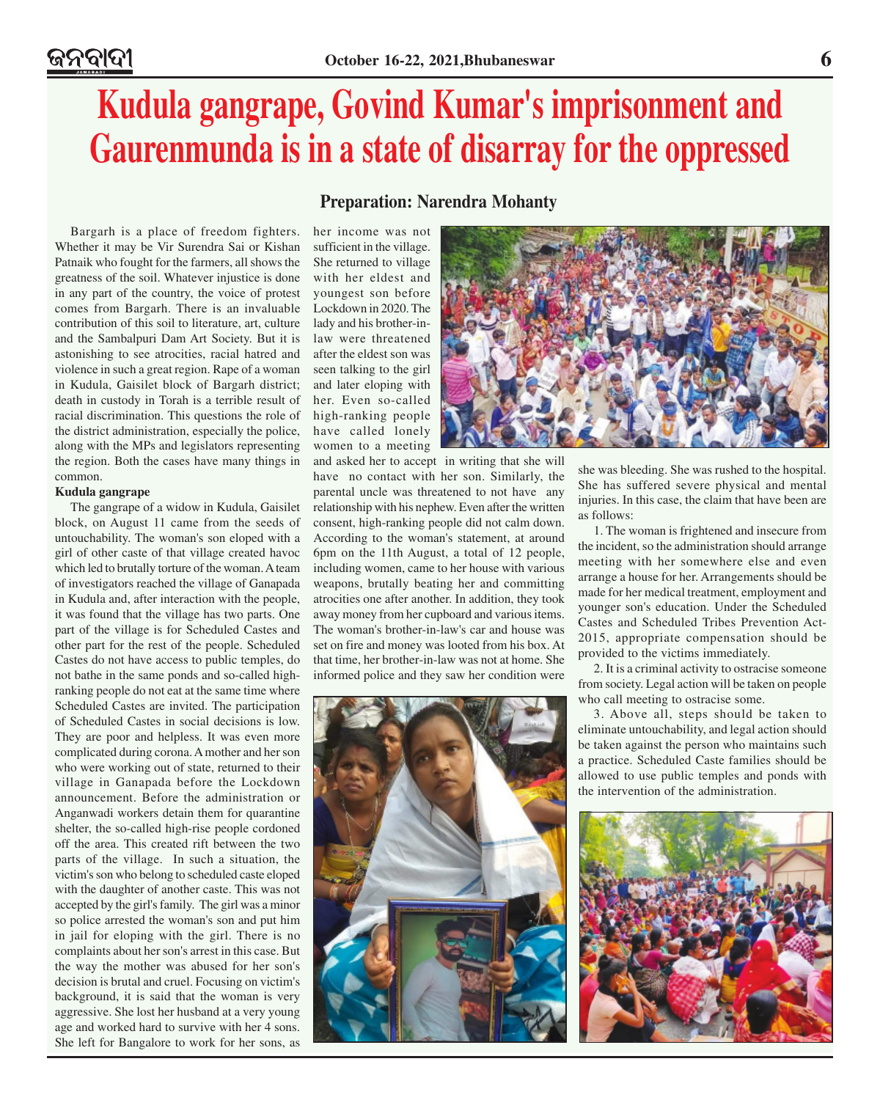## **Kudula gangrape, Govind Kumar's imprisonment and Gaurenmunda is in a state of disarray for the oppressed**

Bargarh is a place of freedom fighters. Whether it may be Vir Surendra Sai or Kishan Patnaik who fought for the farmers, all shows the greatness of the soil. Whatever injustice is done in any part of the country, the voice of protest comes from Bargarh. There is an invaluable contribution of this soil to literature, art, culture and the Sambalpuri Dam Art Society. But it is astonishing to see atrocities, racial hatred and violence in such a great region. Rape of a woman in Kudula, Gaisilet block of Bargarh district; death in custody in Torah is a terrible result of racial discrimination. This questions the role of the district administration, especially the police, along with the MPs and legislators representing the region. Both the cases have many things in common.

#### **Kudula gangrape**

The gangrape of a widow in Kudula, Gaisilet block, on August 11 came from the seeds of untouchability. The woman's son eloped with a girl of other caste of that village created havoc which led to brutally torture of the woman. A team of investigators reached the village of Ganapada in Kudula and, after interaction with the people, it was found that the village has two parts. One part of the village is for Scheduled Castes and other part for the rest of the people. Scheduled Castes do not have access to public temples, do not bathe in the same ponds and so-called highranking people do not eat at the same time where Scheduled Castes are invited. The participation of Scheduled Castes in social decisions is low. They are poor and helpless. It was even more complicated during corona. A mother and her son who were working out of state, returned to their village in Ganapada before the Lockdown announcement. Before the administration or Anganwadi workers detain them for quarantine shelter, the so-called high-rise people cordoned off the area. This created rift between the two parts of the village. In such a situation, the victim's son who belong to scheduled caste eloped with the daughter of another caste. This was not accepted by the girl's family. The girl was a minor so police arrested the woman's son and put him in jail for eloping with the girl. There is no complaints about her son's arrest in this case. But the way the mother was abused for her son's decision is brutal and cruel. Focusing on victim's background, it is said that the woman is very aggressive. She lost her husband at a very young age and worked hard to survive with her 4 sons. She left for Bangalore to work for her sons, as

### **Preparation: Narendra Mohanty**

her income was not sufficient in the village. She returned to village with her eldest and youngest son before Lockdown in 2020. The lady and his brother-inlaw were threatened after the eldest son was seen talking to the girl and later eloping with her. Even so-called high-ranking people have called lonely women to a meeting

and asked her to accept in writing that she will have no contact with her son. Similarly, the parental uncle was threatened to not have any relationship with his nephew. Even after the written consent, high-ranking people did not calm down. According to the woman's statement, at around 6pm on the 11th August, a total of 12 people, including women, came to her house with various weapons, brutally beating her and committing atrocities one after another. In addition, they took away money from her cupboard and various items. The woman's brother-in-law's car and house was set on fire and money was looted from his box. At that time, her brother-in-law was not at home. She informed police and they saw her condition were

![](_page_5_Picture_9.jpeg)

![](_page_5_Picture_10.jpeg)

she was bleeding. She was rushed to the hospital. She has suffered severe physical and mental injuries. In this case, the claim that have been are as follows:

1. The woman is frightened and insecure from the incident, so the administration should arrange meeting with her somewhere else and even arrange a house for her. Arrangements should be made for her medical treatment, employment and younger son's education. Under the Scheduled Castes and Scheduled Tribes Prevention Act-2015, appropriate compensation should be provided to the victims immediately.

2. It is a criminal activity to ostracise someone from society. Legal action will be taken on people who call meeting to ostracise some.

3. Above all, steps should be taken to eliminate untouchability, and legal action should be taken against the person who maintains such a practice. Scheduled Caste families should be allowed to use public temples and ponds with the intervention of the administration.

![](_page_5_Picture_15.jpeg)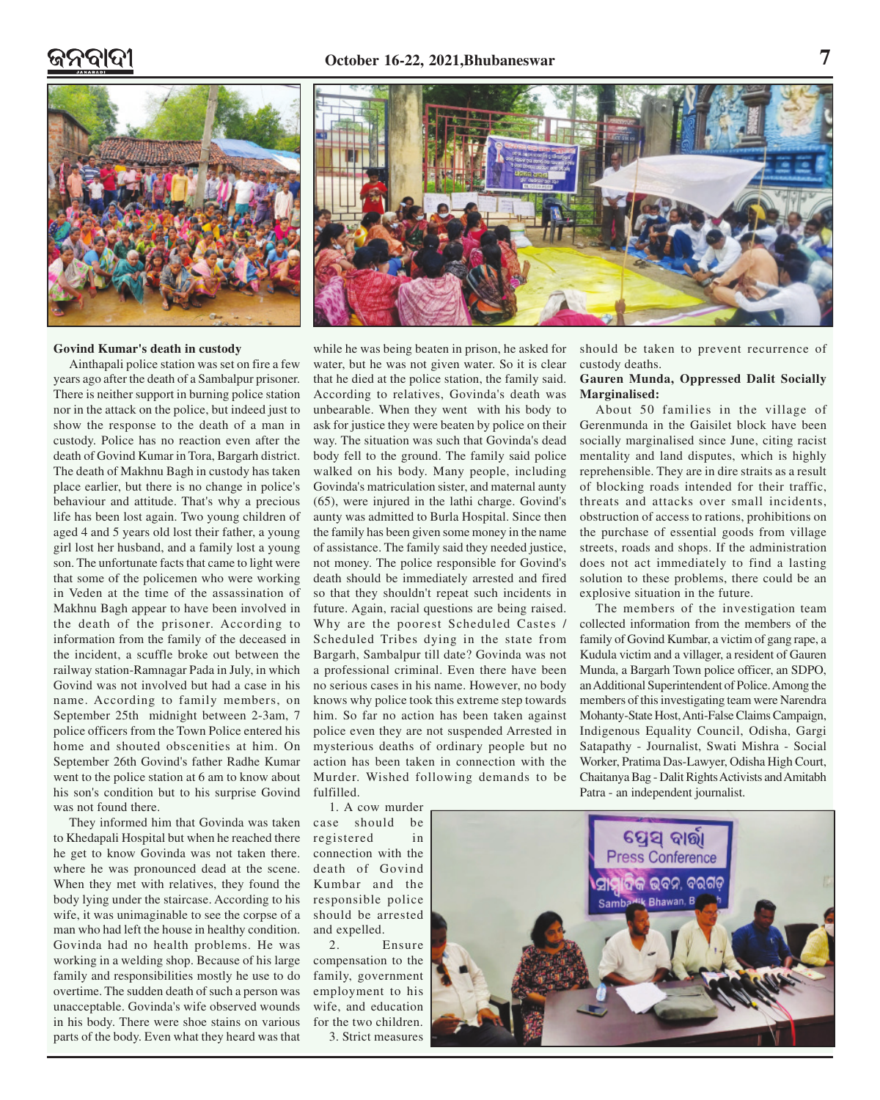![](_page_6_Picture_2.jpeg)

![](_page_6_Picture_3.jpeg)

#### **Govind Kumar's death in custody**

Ainthapali police station was set on fire a few years ago after the death of a Sambalpur prisoner. There is neither support in burning police station nor in the attack on the police, but indeed just to show the response to the death of a man in custody. Police has no reaction even after the death of Govind Kumar in Tora, Bargarh district. The death of Makhnu Bagh in custody has taken place earlier, but there is no change in police's behaviour and attitude. That's why a precious life has been lost again. Two young children of aged 4 and 5 years old lost their father, a young girl lost her husband, and a family lost a young son. The unfortunate facts that came to light were that some of the policemen who were working in Veden at the time of the assassination of Makhnu Bagh appear to have been involved in the death of the prisoner. According to information from the family of the deceased in the incident, a scuffle broke out between the railway station-Ramnagar Pada in July, in which Govind was not involved but had a case in his name. According to family members, on September 25th midnight between 2-3am, 7 police officers from the Town Police entered his home and shouted obscenities at him. On September 26th Govind's father Radhe Kumar went to the police station at 6 am to know about his son's condition but to his surprise Govind was not found there.

They informed him that Govinda was taken to Khedapali Hospital but when he reached there he get to know Govinda was not taken there. where he was pronounced dead at the scene. When they met with relatives, they found the body lying under the staircase. According to his wife, it was unimaginable to see the corpse of a man who had left the house in healthy condition. Govinda had no health problems. He was working in a welding shop. Because of his large family and responsibilities mostly he use to do overtime. The sudden death of such a person was unacceptable. Govinda's wife observed wounds in his body. There were shoe stains on various parts of the body. Even what they heard was that

while he was being beaten in prison, he asked for water, but he was not given water. So it is clear that he died at the police station, the family said. According to relatives, Govinda's death was unbearable. When they went with his body to ask for justice they were beaten by police on their way. The situation was such that Govinda's dead body fell to the ground. The family said police walked on his body. Many people, including Govinda's matriculation sister, and maternal aunty (65), were injured in the lathi charge. Govind's aunty was admitted to Burla Hospital. Since then the family has been given some money in the name of assistance. The family said they needed justice, not money. The police responsible for Govind's death should be immediately arrested and fired so that they shouldn't repeat such incidents in future. Again, racial questions are being raised. Why are the poorest Scheduled Castes / Scheduled Tribes dying in the state from Bargarh, Sambalpur till date? Govinda was not a professional criminal. Even there have been no serious cases in his name. However, no body knows why police took this extreme step towards him. So far no action has been taken against police even they are not suspended Arrested in mysterious deaths of ordinary people but no action has been taken in connection with the Murder. Wished following demands to be fulfilled.

1. A cow murder case should be registered in connection with the death of Govind Kumbar and the responsible police should be arrested and expelled.

2. Ensure compensation to the family, government employment to his wife, and education for the two children. 3. Strict measures

should be taken to prevent recurrence of custody deaths.

### **Gauren Munda, Oppressed Dalit Socially Marginalised:**

About 50 families in the village of Gerenmunda in the Gaisilet block have been socially marginalised since June, citing racist mentality and land disputes, which is highly reprehensible. They are in dire straits as a result of blocking roads intended for their traffic, threats and attacks over small incidents, obstruction of access to rations, prohibitions on the purchase of essential goods from village streets, roads and shops. If the administration does not act immediately to find a lasting solution to these problems, there could be an explosive situation in the future.

The members of the investigation team collected information from the members of the family of Govind Kumbar, a victim of gang rape, a Kudula victim and a villager, a resident of Gauren Munda, a Bargarh Town police officer, an SDPO, an Additional Superintendent of Police. Among the members of this investigating team were Narendra Mohanty-State Host, Anti-False Claims Campaign, Indigenous Equality Council, Odisha, Gargi Satapathy - Journalist, Swati Mishra - Social Worker, Pratima Das-Lawyer, Odisha High Court, Chaitanya Bag - Dalit Rights Activists and Amitabh Patra - an independent journalist.

![](_page_6_Picture_14.jpeg)